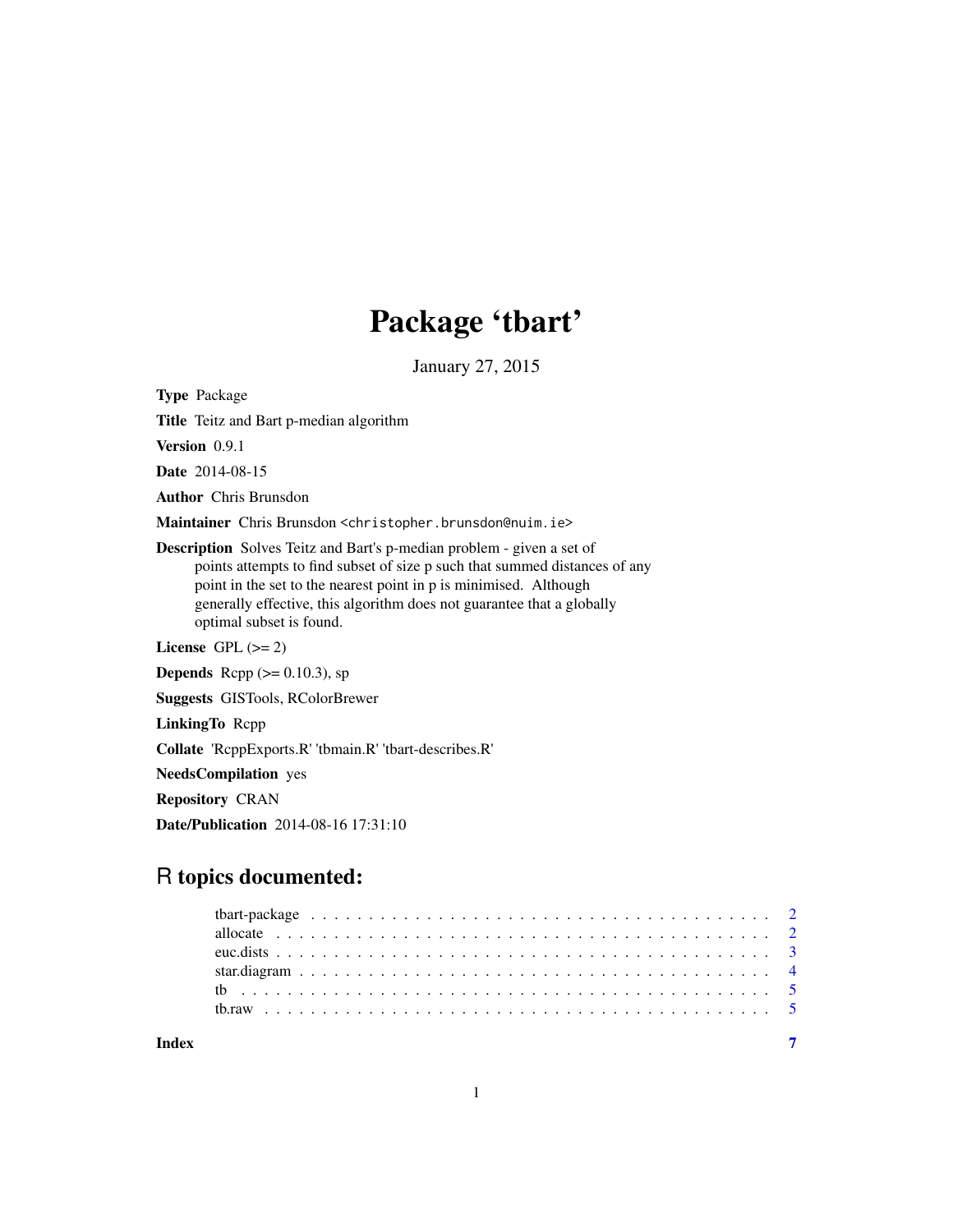# Package 'tbart'

January 27, 2015

Type Package

Title Teitz and Bart p-median algorithm

Version 0.9.1

Date 2014-08-15

Author Chris Brunsdon

Maintainer Chris Brunsdon <christopher.brunsdon@nuim.ie>

Description Solves Teitz and Bart's p-median problem - given a set of points attempts to find subset of size p such that summed distances of any point in the set to the nearest point in p is minimised. Although generally effective, this algorithm does not guarantee that a globally optimal subset is found.

License GPL  $(>= 2)$ 

**Depends** Rcpp  $(>= 0.10.3)$ , sp

Suggests GISTools, RColorBrewer

LinkingTo Rcpp

Collate 'RcppExports.R' 'tbmain.R' 'tbart-describes.R'

NeedsCompilation yes

Repository CRAN

Date/Publication 2014-08-16 17:31:10

# R topics documented:

| Indev |  |  |  |  |  |  |  |  |  |  |  |  |  |  |  |  |  |
|-------|--|--|--|--|--|--|--|--|--|--|--|--|--|--|--|--|--|
|       |  |  |  |  |  |  |  |  |  |  |  |  |  |  |  |  |  |
|       |  |  |  |  |  |  |  |  |  |  |  |  |  |  |  |  |  |
|       |  |  |  |  |  |  |  |  |  |  |  |  |  |  |  |  |  |
|       |  |  |  |  |  |  |  |  |  |  |  |  |  |  |  |  |  |
|       |  |  |  |  |  |  |  |  |  |  |  |  |  |  |  |  |  |
|       |  |  |  |  |  |  |  |  |  |  |  |  |  |  |  |  |  |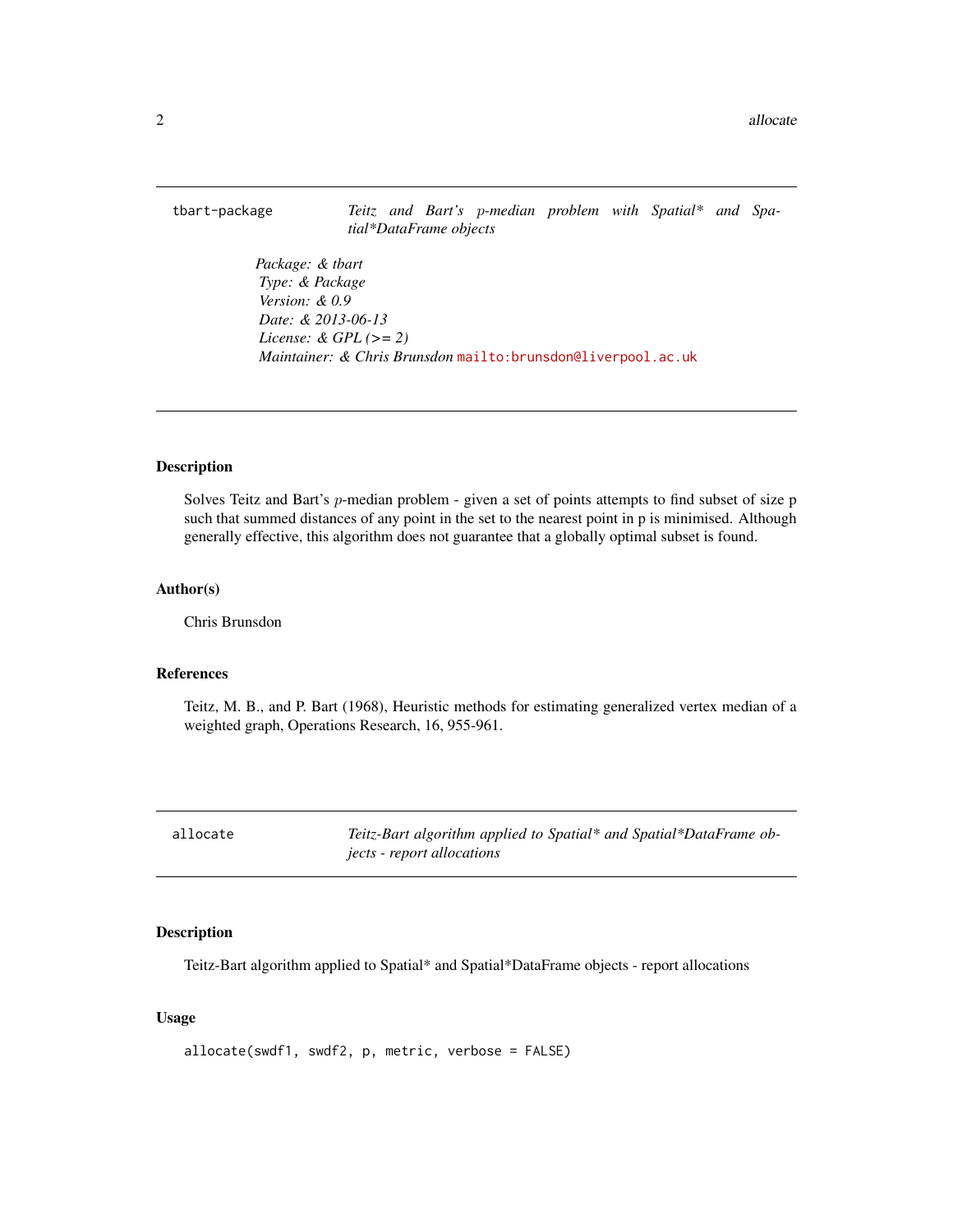<span id="page-1-0"></span>tbart-package *Teitz and Bart's* p*-median problem with Spatial\* and Spatial\*DataFrame objects*

> *Package: & tbart Type: & Package Version: & 0.9 Date: & 2013-06-13 License: & GPL (>= 2) Maintainer: & Chris Brunsdon* <mailto:brunsdon@liverpool.ac.uk>

#### Description

Solves Teitz and Bart's p-median problem - given a set of points attempts to find subset of size p such that summed distances of any point in the set to the nearest point in p is minimised. Although generally effective, this algorithm does not guarantee that a globally optimal subset is found.

#### Author(s)

Chris Brunsdon

#### References

Teitz, M. B., and P. Bart (1968), Heuristic methods for estimating generalized vertex median of a weighted graph, Operations Research, 16, 955-961.

allocate *Teitz-Bart algorithm applied to Spatial\* and Spatial\*DataFrame objects - report allocations*

#### Description

Teitz-Bart algorithm applied to Spatial\* and Spatial\*DataFrame objects - report allocations

#### Usage

```
allocate(swdf1, swdf2, p, metric, verbose = FALSE)
```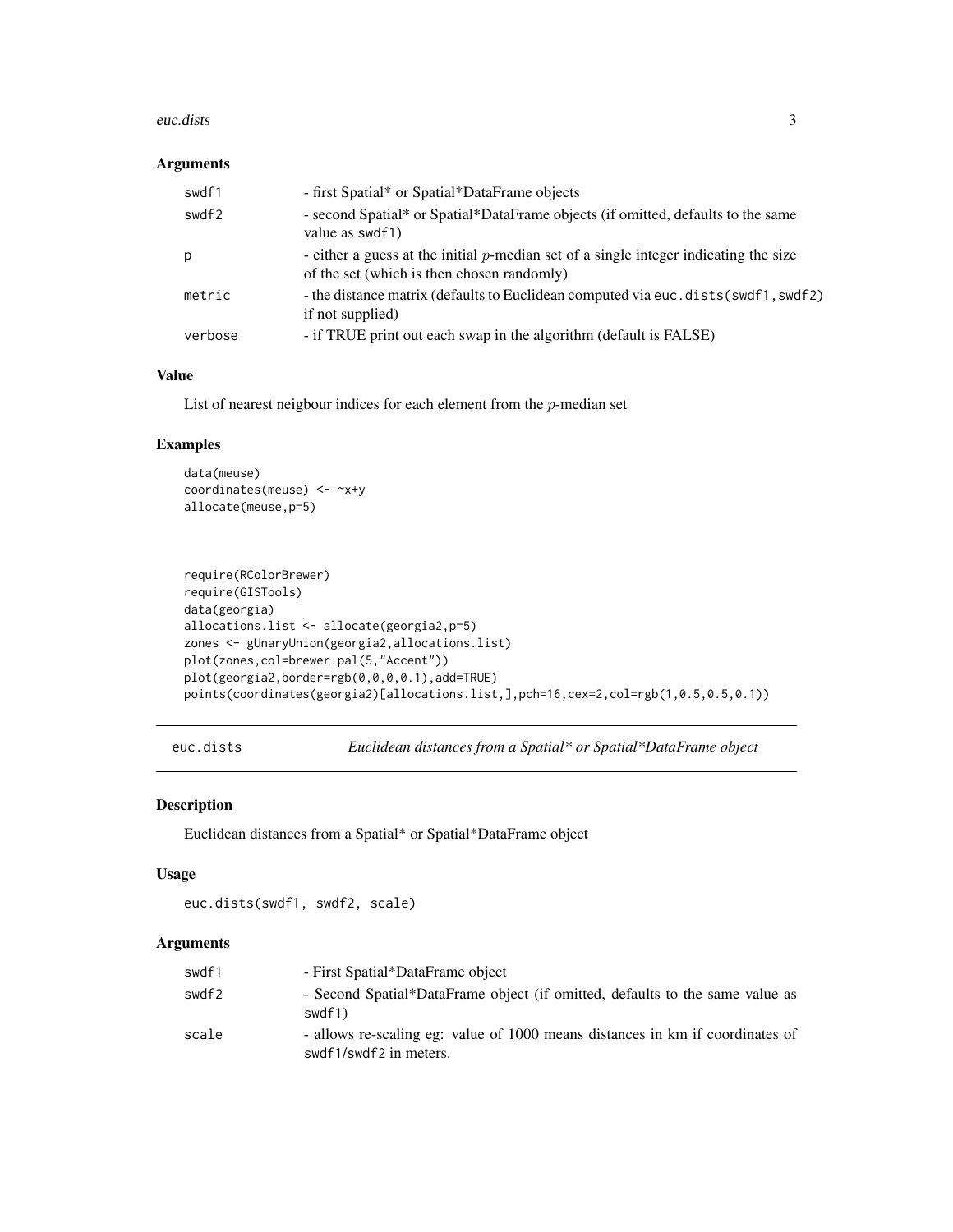#### <span id="page-2-0"></span>euc.dists 3

#### Arguments

| swdf1   | - first Spatial* or Spatial*DataFrame objects                                                                                         |
|---------|---------------------------------------------------------------------------------------------------------------------------------------|
| swdf2   | - second Spatial* or Spatial*DataFrame objects (if omitted, defaults to the same<br>value as swdf1)                                   |
| p       | - either a guess at the initial $p$ -median set of a single integer indicating the size<br>of the set (which is then chosen randomly) |
| metric  | - the distance matrix (defaults to Euclidean computed via euc. dists (swdf1, swdf2)<br>if not supplied)                               |
| verbose | - if TRUE print out each swap in the algorithm (default is FALSE)                                                                     |

#### Value

List of nearest neigbour indices for each element from the  $p$ -median set

# Examples

```
data(meuse)
coordinates(meuse) <- ~x+y
allocate(meuse,p=5)
```

```
require(RColorBrewer)
require(GISTools)
data(georgia)
allocations.list <- allocate(georgia2,p=5)
zones <- gUnaryUnion(georgia2,allocations.list)
plot(zones,col=brewer.pal(5,"Accent"))
plot(georgia2,border=rgb(0,0,0,0.1),add=TRUE)
points(coordinates(georgia2)[allocations.list,],pch=16,cex=2,col=rgb(1,0.5,0.5,0.1))
```
euc.dists *Euclidean distances from a Spatial\* or Spatial\*DataFrame object*

#### Description

Euclidean distances from a Spatial\* or Spatial\*DataFrame object

#### Usage

```
euc.dists(swdf1, swdf2, scale)
```
#### Arguments

| swdf1 | - First Spatial*DataFrame object                                                                        |
|-------|---------------------------------------------------------------------------------------------------------|
| swdf2 | - Second Spatial*DataFrame object (if omitted, defaults to the same value as<br>swdf1)                  |
| scale | - allows re-scaling eg: value of 1000 means distances in km if coordinates of<br>swdf1/swdf2 in meters. |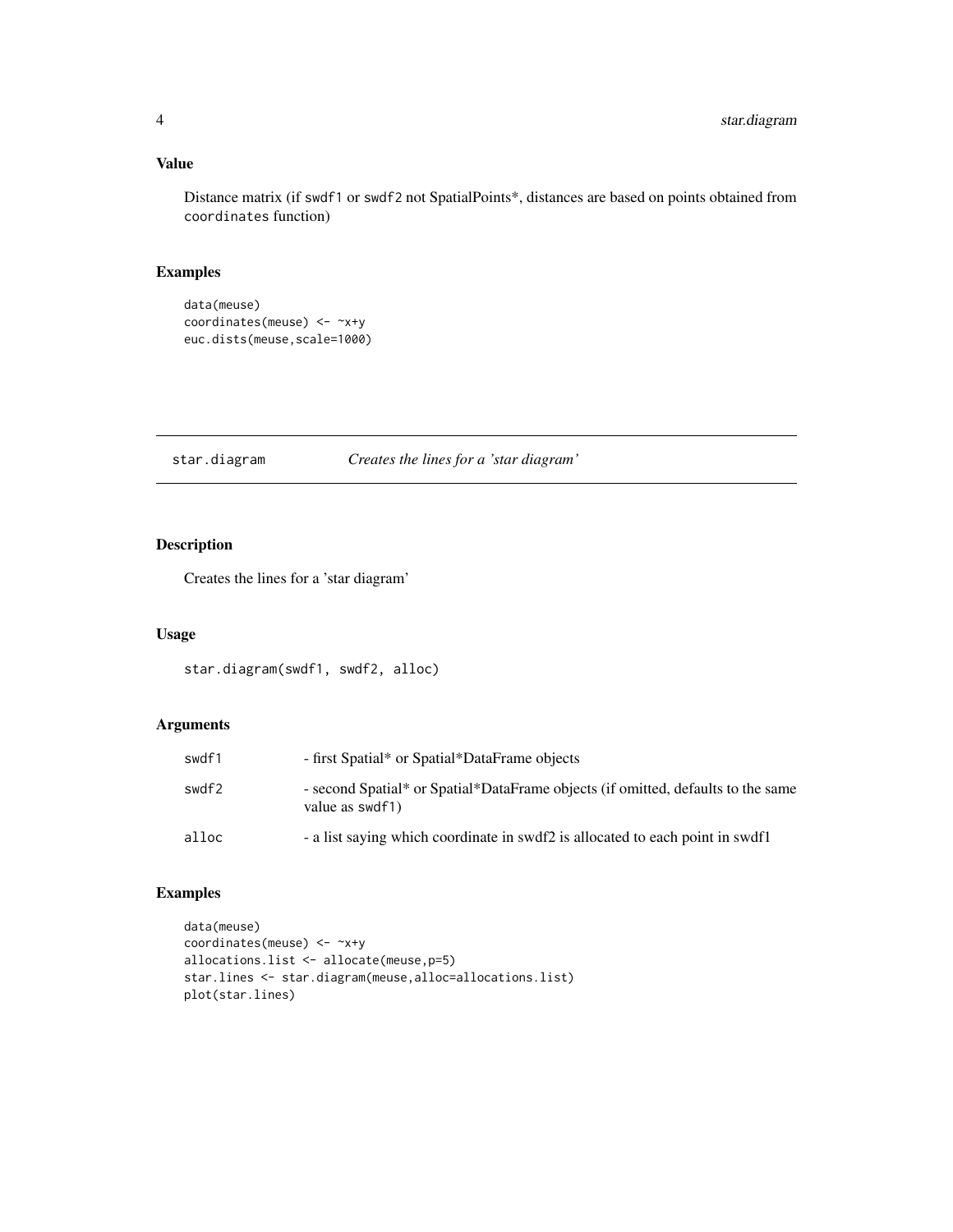# <span id="page-3-0"></span>Value

Distance matrix (if swdf1 or swdf2 not SpatialPoints\*, distances are based on points obtained from coordinates function)

### Examples

```
data(meuse)
coordinates(meuse) <- ~x+y
euc.dists(meuse,scale=1000)
```
star.diagram *Creates the lines for a 'star diagram'*

# Description

Creates the lines for a 'star diagram'

# Usage

star.diagram(swdf1, swdf2, alloc)

### Arguments

| swdf1 | - first Spatial* or Spatial*DataFrame objects                                                       |
|-------|-----------------------------------------------------------------------------------------------------|
| swdf2 | - second Spatial* or Spatial*DataFrame objects (if omitted, defaults to the same<br>value as swdf1) |
| alloc | - a list saying which coordinate in swdf2 is allocated to each point in swdf1                       |

# Examples

```
data(meuse)
coordinates(meuse) <- ~x+y
allocations.list <- allocate(meuse,p=5)
star.lines <- star.diagram(meuse,alloc=allocations.list)
plot(star.lines)
```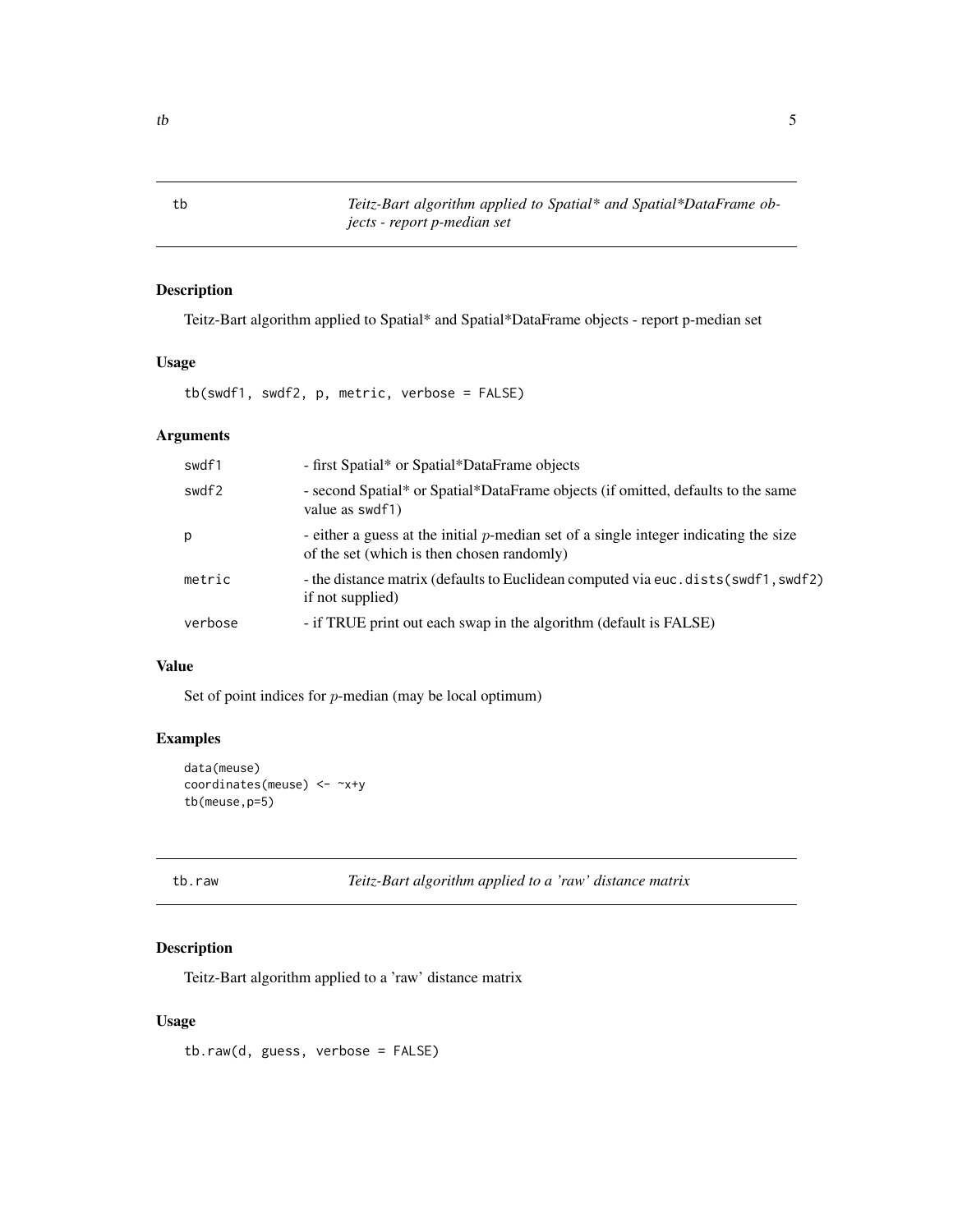<span id="page-4-0"></span>tb *Teitz-Bart algorithm applied to Spatial\* and Spatial\*DataFrame objects - report p-median set*

# Description

Teitz-Bart algorithm applied to Spatial\* and Spatial\*DataFrame objects - report p-median set

## Usage

tb(swdf1, swdf2, p, metric, verbose = FALSE)

### Arguments

| swdf1   | - first Spatial* or Spatial*DataFrame objects                                                                                         |
|---------|---------------------------------------------------------------------------------------------------------------------------------------|
| swdf2   | - second Spatial* or Spatial*DataFrame objects (if omitted, defaults to the same<br>value as swdf1)                                   |
| р       | - either a guess at the initial $p$ -median set of a single integer indicating the size<br>of the set (which is then chosen randomly) |
| metric  | - the distance matrix (defaults to Euclidean computed via euc. dists (swdf1, swdf2)<br>if not supplied)                               |
| verbose | - if TRUE print out each swap in the algorithm (default is FALSE)                                                                     |

#### Value

Set of point indices for  $p$ -median (may be local optimum)

### Examples

```
data(meuse)
coordinates(meuse) <- ~x+y
tb(meuse,p=5)
```
tb.raw *Teitz-Bart algorithm applied to a 'raw' distance matrix*

### Description

Teitz-Bart algorithm applied to a 'raw' distance matrix

# Usage

tb.raw(d, guess, verbose = FALSE)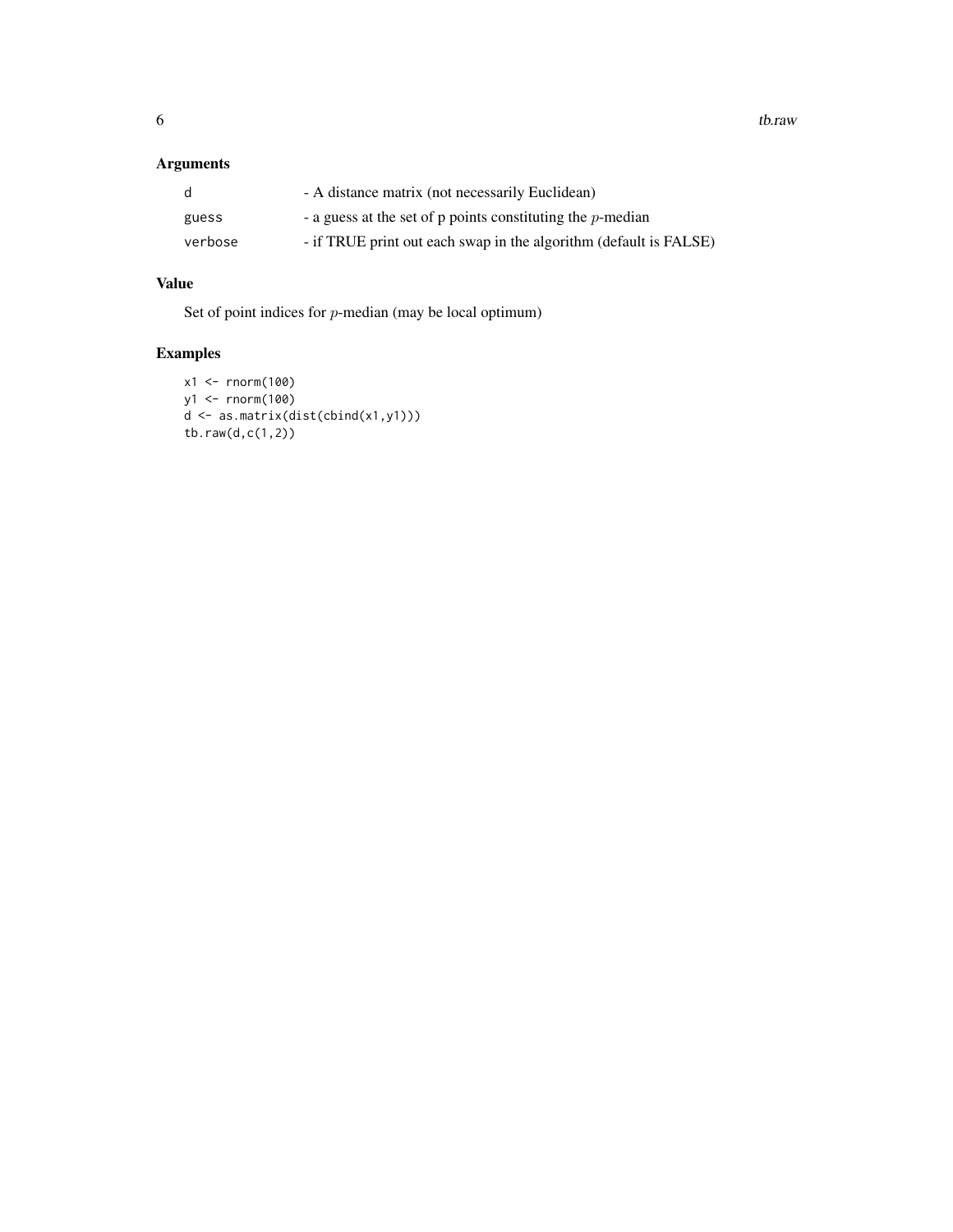# Arguments

| d       | - A distance matrix (not necessarily Euclidean)                   |
|---------|-------------------------------------------------------------------|
| guess   | - a guess at the set of $p$ points constituting the $p$ -median   |
| verbose | - if TRUE print out each swap in the algorithm (default is FALSE) |

# Value

Set of point indices for p-median (may be local optimum)

# Examples

```
x1 <- rnorm(100)
y1 <- rnorm(100)
d <- as.matrix(dist(cbind(x1,y1)))
tb.raw(d,c(1,2))
```